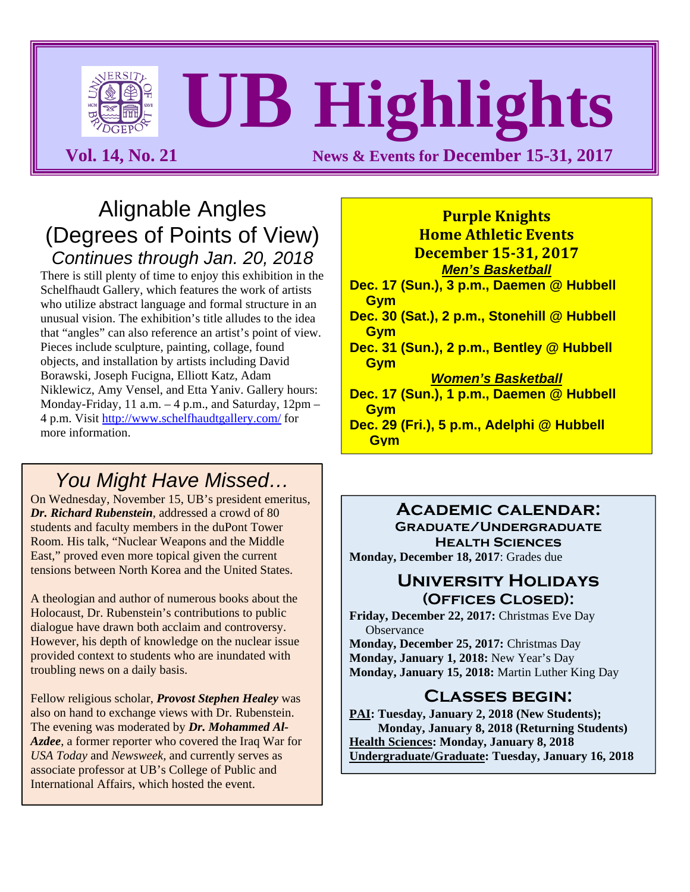# **UB Highlights**

**Vol. 14, No. 21 News & Events for December 15-31, 2017** 

#### Alignable Angles (Degrees of Points of View) *Continues through Jan. 20, 2018*

There is still plenty of time to enjoy this exhibition in the Schelfhaudt Gallery, which features the work of artists who utilize abstract language and formal structure in an unusual vision. The exhibition's title alludes to the idea that "angles" can also reference an artist's point of view. Pieces include sculpture, painting, collage, found objects, and installation by artists including David Borawski, Joseph Fucigna, Elliott Katz, Adam Niklewicz, Amy Vensel, and Etta Yaniv. Gallery hours: Monday-Friday, 11 a.m.  $-4$  p.m., and Saturday,  $12$ pm  $-$ 4 p.m. Visit http://www.schelfhaudtgallery.com/ for more information.

#### *You Might Have Missed…*

On Wednesday, November 15, UB's president emeritus, *Dr. Richard Rubenstein*, addressed a crowd of 80 students and faculty members in the duPont Tower Room. His talk, "Nuclear Weapons and the Middle East," proved even more topical given the current tensions between North Korea and the United States.

A theologian and author of numerous books about the Holocaust, Dr. Rubenstein's contributions to public dialogue have drawn both acclaim and controversy. However, his depth of knowledge on the nuclear issue provided context to students who are inundated with troubling news on a daily basis.

Fellow religious scholar, *Provost Stephen Healey* was also on hand to exchange views with Dr. Rubenstein. The evening was moderated by *Dr. Mohammed Al-Azdee*, a former reporter who covered the Iraq War for *USA Today* and *Newsweek,* and currently serves as associate professor at UB's College of Public and International Affairs, which hosted the event.

#### **December 15‐31, 2017** *Men's Basketball*  **Dec. 17 (Sun.), 3 p.m., Daemen @ Hubbell Gym Dec. 30 (Sat.), 2 p.m., Stonehill @ Hubbell Gym Dec. 31 (Sun.), 2 p.m., Bentley @ Hubbell Gym** *Women's Basketball*  **Dec. 17 (Sun.), 1 p.m., Daemen @ Hubbell Gym Dec. 29 (Fri.), 5 p.m., Adelphi @ Hubbell Gym**

**Purple Knights Home Athletic Events**

#### **Academic calendar: Graduate/Undergraduate Health Sciences**

**Monday, December 18, 2017**: Grades due

#### **University Holidays (Offices Closed):**

**Friday, December 22, 2017:** Christmas Eve Day **Observance** 

**Monday, December 25, 2017:** Christmas Day **Monday, January 1, 2018:** New Year's Day **Monday, January 15, 2018:** Martin Luther King Day

#### **Classes begin:**

**PAI: Tuesday, January 2, 2018 (New Students); Monday, January 8, 2018 (Returning Students) Health Sciences: Monday, January 8, 2018 Undergraduate/Graduate: Tuesday, January 16, 2018**